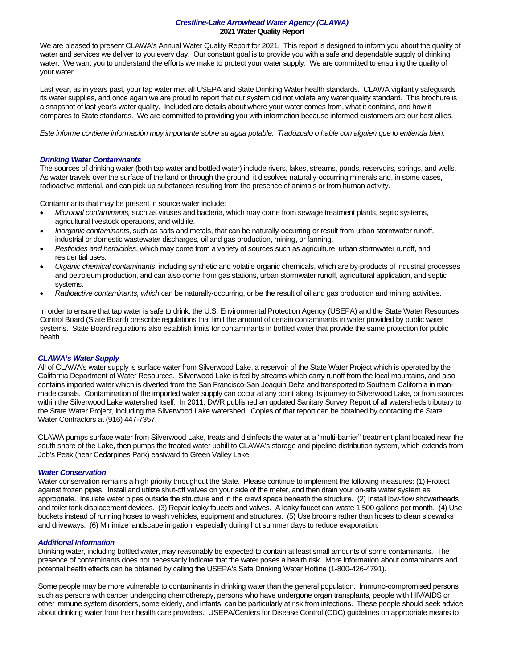## *Crestline-Lake Arrowhead Water Agency (CLAWA)* **2021 Water Quality Report**

We are pleased to present CLAWA's Annual Water Quality Report for 2021. This report is designed to inform you about the quality of water and services we deliver to you every day. Our constant goal is to provide you with a safe and dependable supply of drinking water. We want you to understand the efforts we make to protect your water supply. We are committed to ensuring the quality of your water.

Last year, as in years past, your tap water met all USEPA and State Drinking Water health standards. CLAWA vigilantly safeguards its water supplies, and once again we are proud to report that our system did not violate any water quality standard. This brochure is a snapshot of last year's water quality. Included are details about where your water comes from, what it contains, and how it compares to State standards. We are committed to providing you with information because informed customers are our best allies.

*Este informe contiene información muy importante sobre su agua potable. Tradúzcalo o hable con alguien que lo entienda bien.* 

# *Drinking Water Contaminants*

The sources of drinking water (both tap water and bottled water) include rivers, lakes, streams, ponds, reservoirs, springs, and wells. As water travels over the surface of the land or through the ground, it dissolves naturally-occurring minerals and, in some cases, radioactive material, and can pick up substances resulting from the presence of animals or from human activity.

Contaminants that may be present in source water include:

- *Microbial contaminants,* such as viruses and bacteria, which may come from sewage treatment plants, septic systems, agricultural livestock operations, and wildlife.
- *Inorganic contaminants*, such as salts and metals, that can be naturally-occurring or result from urban stormwater runoff, industrial or domestic wastewater discharges, oil and gas production, mining, or farming.
- *Pesticides and herbicides*, which may come from a variety of sources such as agriculture, urban stormwater runoff, and residential uses.
- *Organic chemical contaminants*, including synthetic and volatile organic chemicals, which are by-products of industrial processes and petroleum production, and can also come from gas stations, urban stormwater runoff, agricultural application, and septic systems.
- *Radioactive contaminants, which* can be naturally-occurring, or be the result of oil and gas production and mining activities.

In order to ensure that tap water is safe to drink, the U.S. Environmental Protection Agency (USEPA) and the State Water Resources Control Board (State Board) prescribe regulations that limit the amount of certain contaminants in water provided by public water systems. State Board regulations also establish limits for contaminants in bottled water that provide the same protection for public health.

### *CLAWA's Water Supply*

All of CLAWA's water supply is surface water from Silverwood Lake, a reservoir of the State Water Project which is operated by the California Department of Water Resources. Silverwood Lake is fed by streams which carry runoff from the local mountains, and also contains imported water which is diverted from the San Francisco-San Joaquin Delta and transported to Southern California in manmade canals. Contamination of the imported water supply can occur at any point along its journey to Silverwood Lake, or from sources within the Silverwood Lake watershed itself. In 2011, DWR published an updated Sanitary Survey Report of all watersheds tributary to the State Water Project, including the Silverwood Lake watershed. Copies of that report can be obtained by contacting the State Water Contractors at (916) 447-7357.

CLAWA pumps surface water from Silverwood Lake, treats and disinfects the water at a "multi-barrier" treatment plant located near the south shore of the Lake, then pumps the treated water uphill to CLAWA's storage and pipeline distribution system, which extends from Job's Peak (near Cedarpines Park) eastward to Green Valley Lake.

### *Water Conservation*

Water conservation remains a high priority throughout the State. Please continue to implement the following measures: (1) Protect against frozen pipes. Install and utilize shut-off valves on your side of the meter, and then drain your on-site water system as appropriate. Insulate water pipes outside the structure and in the crawl space beneath the structure. (2) Install low-flow showerheads and toilet tank displacement devices. (3) Repair leaky faucets and valves. A leaky faucet can waste 1,500 gallons per month. (4) Use buckets instead of running hoses to wash vehicles, equipment and structures. (5) Use brooms rather than hoses to clean sidewalks and driveways. (6) Minimize landscape irrigation, especially during hot summer days to reduce evaporation.

### *Additional Information*

Drinking water, including bottled water, may reasonably be expected to contain at least small amounts of some contaminants. The presence of contaminants does not necessarily indicate that the water poses a health risk. More information about contaminants and potential health effects can be obtained by calling the USEPA's Safe Drinking Water Hotline (1-800-426-4791).

Some people may be more vulnerable to contaminants in drinking water than the general population. Immuno-compromised persons such as persons with cancer undergoing chemotherapy, persons who have undergone organ transplants, people with HIV/AIDS or other immune system disorders, some elderly, and infants, can be particularly at risk from infections. These people should seek advice about drinking water from their health care providers. USEPA/Centers for Disease Control (CDC) guidelines on appropriate means to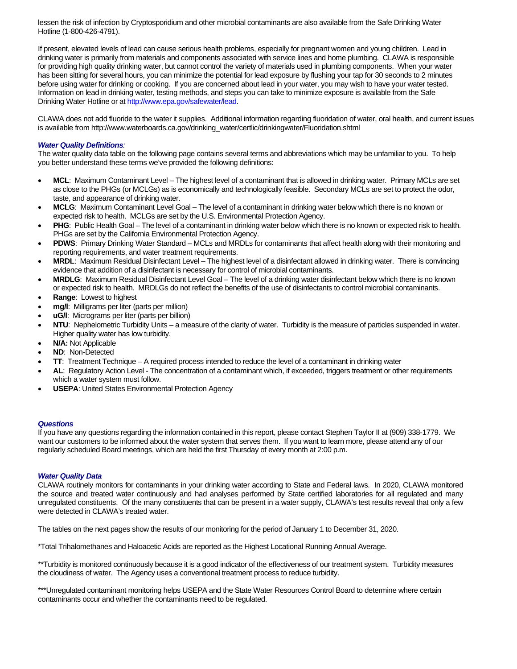lessen the risk of infection by Cryptosporidium and other microbial contaminants are also available from the Safe Drinking Water Hotline (1-800-426-4791).

If present, elevated levels of lead can cause serious health problems, especially for pregnant women and young children. Lead in drinking water is primarily from materials and components associated with service lines and home plumbing. CLAWA is responsible for providing high quality drinking water, but cannot control the variety of materials used in plumbing components. When your water has been sitting for several hours, you can minimize the potential for lead exposure by flushing your tap for 30 seconds to 2 minutes before using water for drinking or cooking. If you are concerned about lead in your water, you may wish to have your water tested. Information on lead in drinking water, testing methods, and steps you can take to minimize exposure is available from the Safe Drinking Water Hotline or at [http://www.epa.gov/safewater/lead.](http://www.epa.gov/safewater/lead)

CLAWA does not add fluoride to the water it supplies. Additional information regarding fluoridation of water, oral health, and current issues is available from http://www.waterboards.ca.gov/drinking\_water/certlic/drinkingwater/Fluoridation.shtml

# *Water Quality Definitions:*

The water quality data table on the following page contains several terms and abbreviations which may be unfamiliar to you. To help you better understand these terms we've provided the following definitions:

- **MCL**: Maximum Contaminant Level The highest level of a contaminant that is allowed in drinking water. Primary MCLs are set as close to the PHGs (or MCLGs) as is economically and technologically feasible. Secondary MCLs are set to protect the odor, taste, and appearance of drinking water.
- **MCLG**: Maximum Contaminant Level Goal The level of a contaminant in drinking water below which there is no known or expected risk to health. MCLGs are set by the U.S. Environmental Protection Agency.
- **PHG**: Public Health Goal The level of a contaminant in drinking water below which there is no known or expected risk to health. PHGs are set by the California Environmental Protection Agency.
- **PDWS**: Primary Drinking Water Standard MCLs and MRDLs for contaminants that affect health along with their monitoring and reporting requirements, and water treatment requirements.
- **MRDL**: Maximum Residual Disinfectant Level The highest level of a disinfectant allowed in drinking water. There is convincing evidence that addition of a disinfectant is necessary for control of microbial contaminants.
- **MRDLG**: Maximum Residual Disinfectant Level Goal The level of a drinking water disinfectant below which there is no known or expected risk to health. MRDLGs do not reflect the benefits of the use of disinfectants to control microbial contaminants.
- **Range**: Lowest to highest
- mg/l: Milligrams per liter (parts per million)
- **uG/I:** Micrograms per liter (parts per billion)
- NTU: Nephelometric Turbidity Units a measure of the clarity of water. Turbidity is the measure of particles suspended in water. Higher quality water has low turbidity.
- **N/A: Not Applicable**
- **ND**: Non-Detected
- **TT**: Treatment Technique A required process intended to reduce the level of a contaminant in drinking water
- **AL**: Regulatory Action Level The concentration of a contaminant which, if exceeded, triggers treatment or other requirements which a water system must follow.
- **USEPA**: United States Environmental Protection Agency

### *Questions*

If you have any questions regarding the information contained in this report, please contact Stephen Taylor II at (909) 338-1779. We want our customers to be informed about the water system that serves them. If you want to learn more, please attend any of our regularly scheduled Board meetings, which are held the first Thursday of every month at 2:00 p.m.

### *Water Quality Data*

CLAWA routinely monitors for contaminants in your drinking water according to State and Federal laws. In 2020, CLAWA monitored the source and treated water continuously and had analyses performed by State certified laboratories for all regulated and many unregulated constituents. Of the many constituents that can be present in a water supply, CLAWA's test results reveal that only a few were detected in CLAWA's treated water.

The tables on the next pages show the results of our monitoring for the period of January 1 to December 31, 2020.

\*Total Trihalomethanes and Haloacetic Acids are reported as the Highest Locational Running Annual Average.

\*\*Turbidity is monitored continuously because it is a good indicator of the effectiveness of our treatment system. Turbidity measures the cloudiness of water. The Agency uses a conventional treatment process to reduce turbidity.

\*\*\*Unregulated contaminant monitoring helps USEPA and the State Water Resources Control Board to determine where certain contaminants occur and whether the contaminants need to be regulated.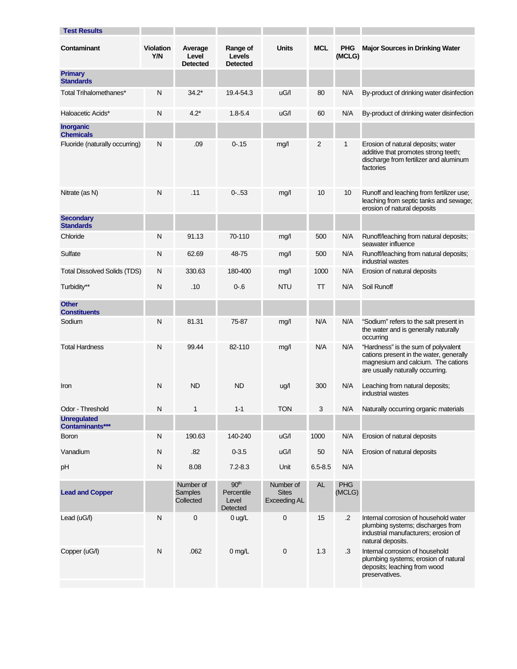| <b>Test Results</b>                   |                                |                                          |                                                     |                                                  |             |                      |                                                                                                                                                          |
|---------------------------------------|--------------------------------|------------------------------------------|-----------------------------------------------------|--------------------------------------------------|-------------|----------------------|----------------------------------------------------------------------------------------------------------------------------------------------------------|
| Contaminant                           | <b>Violation</b><br><b>Y/N</b> | Average<br>Level<br><b>Detected</b>      | Range of<br>Levels<br><b>Detected</b>               | <b>Units</b>                                     | <b>MCL</b>  | <b>PHG</b><br>(MCLG) | <b>Major Sources in Drinking Water</b>                                                                                                                   |
| <b>Primary</b><br><b>Standards</b>    |                                |                                          |                                                     |                                                  |             |                      |                                                                                                                                                          |
| Total Trihalomethanes*                | Ν                              | $34.2*$                                  | 19.4-54.3                                           | uG/I                                             | 80          | N/A                  | By-product of drinking water disinfection                                                                                                                |
| Haloacetic Acids*                     | N                              | $4.2*$                                   | $1.8 - 5.4$                                         | uG/I                                             | 60          | N/A                  | By-product of drinking water disinfection                                                                                                                |
| <b>Inorganic</b><br><b>Chemicals</b>  |                                |                                          |                                                     |                                                  |             |                      |                                                                                                                                                          |
| Fluoride (naturally occurring)        | N                              | .09                                      | $0 - 15$                                            | mg/l                                             | 2           | 1                    | Erosion of natural deposits; water<br>additive that promotes strong teeth;<br>discharge from fertilizer and aluminum<br>factories                        |
| Nitrate (as N)                        | N                              | .11                                      | $0-.53$                                             | mg/l                                             | 10          | 10                   | Runoff and leaching from fertilizer use;<br>leaching from septic tanks and sewage;<br>erosion of natural deposits                                        |
| <b>Secondary</b><br><b>Standards</b>  |                                |                                          |                                                     |                                                  |             |                      |                                                                                                                                                          |
| Chloride                              | N                              | 91.13                                    | 70-110                                              | mq/l                                             | 500         | N/A                  | Runoff/leaching from natural deposits;<br>seawater influence                                                                                             |
| Sulfate                               | N                              | 62.69                                    | 48-75                                               | mg/l                                             | 500         | N/A                  | Runoff/leaching from natural deposits;<br>industrial wastes                                                                                              |
| <b>Total Dissolved Solids (TDS)</b>   | Ν                              | 330.63                                   | 180-400                                             | mg/l                                             | 1000        | N/A                  | Erosion of natural deposits                                                                                                                              |
| Turbidity**                           | N                              | .10                                      | $0 - 6$                                             | <b>NTU</b>                                       | TΤ          | N/A                  | Soil Runoff                                                                                                                                              |
| <b>Other</b><br><b>Constituents</b>   |                                |                                          |                                                     |                                                  |             |                      |                                                                                                                                                          |
| Sodium                                | N                              | 81.31                                    | 75-87                                               | mg/l                                             | N/A         | N/A                  | "Sodium" refers to the salt present in<br>the water and is generally naturally<br>occurring                                                              |
| <b>Total Hardness</b>                 | N                              | 99.44                                    | 82-110                                              | mg/l                                             | N/A         | N/A                  | "Hardness" is the sum of polyvalent<br>cations present in the water, generally<br>magnesium and calcium. The cations<br>are usually naturally occurring. |
| Iron                                  | N                              | <b>ND</b>                                | <b>ND</b>                                           | ug/l                                             | 300         | N/A                  | Leaching from natural deposits;<br>industrial wastes                                                                                                     |
| Odor - Threshold                      | N                              | 1                                        | $1 - 1$                                             | <b>TON</b>                                       | 3           | N/A                  | Naturally occurring organic materials                                                                                                                    |
| <b>Unregulated</b><br>Contaminants*** |                                |                                          |                                                     |                                                  |             |                      |                                                                                                                                                          |
| <b>Boron</b>                          | N                              | 190.63                                   | 140-240                                             | uG/I                                             | 1000        | N/A                  | Erosion of natural deposits                                                                                                                              |
| Vanadium                              | Ν                              | .82                                      | $0 - 3.5$                                           | uG/I                                             | 50          | N/A                  | Erosion of natural deposits                                                                                                                              |
| pH                                    | N                              | 8.08                                     | $7.2 - 8.3$                                         | Unit                                             | $6.5 - 8.5$ | N/A                  |                                                                                                                                                          |
| <b>Lead and Copper</b>                |                                | Number of<br><b>Samples</b><br>Collected | 90 <sup>th</sup><br>Percentile<br>Level<br>Detected | Number of<br><b>Sites</b><br><b>Exceeding AL</b> | <b>AL</b>   | <b>PHG</b><br>(MCLG) |                                                                                                                                                          |
| Lead $(uG/l)$                         | $\mathsf{N}$                   | $\pmb{0}$                                | $0$ ug/L                                            | $\pmb{0}$                                        | 15          | $\cdot$ .2           | Internal corrosion of household water<br>plumbing systems; discharges from<br>industrial manufacturers; erosion of<br>natural deposits.                  |
| Copper (uG/l)                         | N                              | .062                                     | $0$ mg/L                                            | $\mathbf 0$                                      | 1.3         | $\cdot$ 3            | Internal corrosion of household<br>plumbing systems; erosion of natural<br>deposits; leaching from wood<br>preservatives.                                |